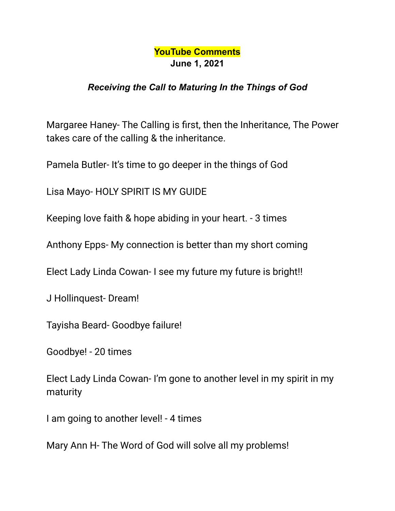## **YouTube Comments June 1, 2021**

## *Receiving the Call to Maturing In the Things of God*

Margaree Haney- The Calling is first, then the Inheritance, The Power takes care of the calling & the inheritance.

Pamela Butler- It's time to go deeper in the things of God

Lisa Mayo- HOLY SPIRIT IS MY GUIDE

Keeping love faith & hope abiding in your heart. - 3 times

Anthony Epps- My connection is better than my short coming

Elect Lady Linda Cowan- I see my future my future is bright!!

J Hollinquest- Dream!

Tayisha Beard- Goodbye failure!

Goodbye! - 20 times

Elect Lady Linda Cowan- I'm gone to another level in my spirit in my maturity

I am going to another level! - 4 times

Mary Ann H- The Word of God will solve all my problems!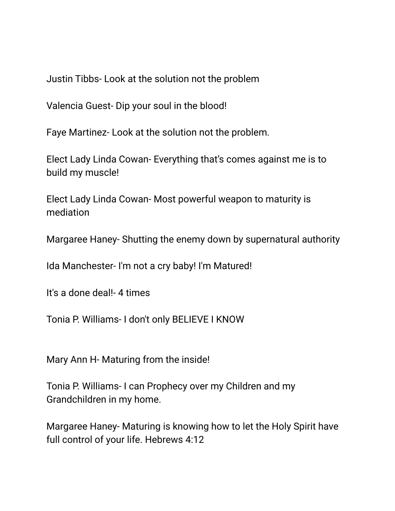Justin Tibbs- Look at the solution not the problem

Valencia Guest- Dip your soul in the blood!

Faye Martinez- Look at the solution not the problem.

Elect Lady Linda Cowan- Everything that's comes against me is to build my muscle!

Elect Lady Linda Cowan- Most powerful weapon to maturity is mediation

Margaree Haney- Shutting the enemy down by supernatural authority

Ida Manchester- I'm not a cry baby! I'm Matured!

It's a done deal!- 4 times

Tonia P. Williams- I don't only BELIEVE I KNOW

Mary Ann H- Maturing from the inside!

Tonia P. Williams- I can Prophecy over my Children and my Grandchildren in my home.

Margaree Haney- Maturing is knowing how to let the Holy Spirit have full control of your life. Hebrews 4:12